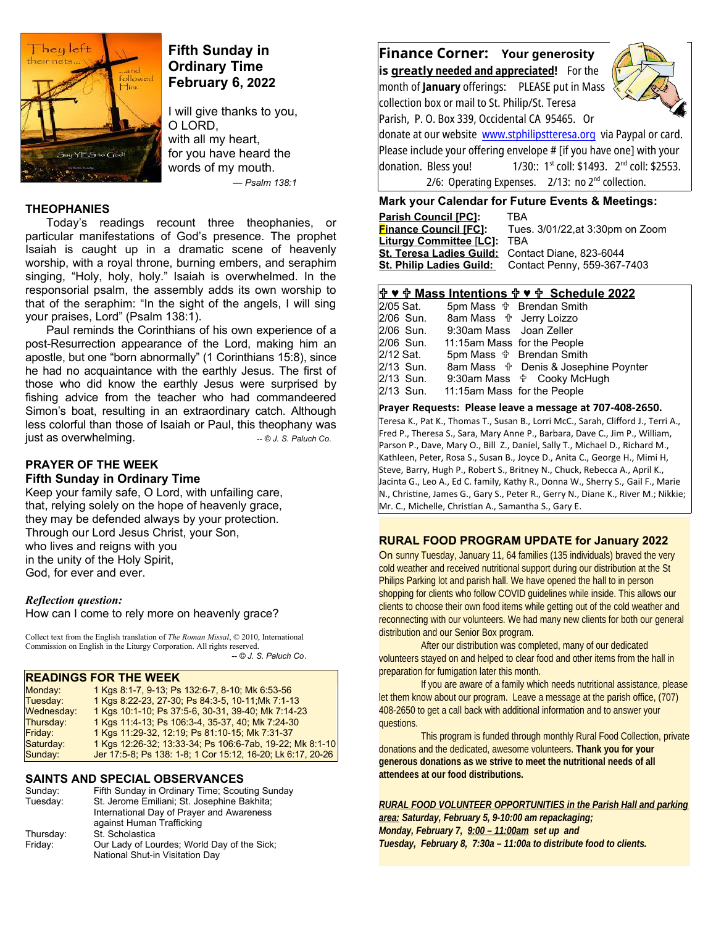

# **Fifth Sunday in Ordinary Time February 6, 2022**

I will give thanks to you, O LORD, with all my heart, for you have heard the words of my mouth. *— Psalm 138:1* 

### **THEOPHANIES**

Today's readings recount three theophanies, or particular manifestations of God's presence. The prophet Isaiah is caught up in a dramatic scene of heavenly worship, with a royal throne, burning embers, and seraphim singing, "Holy, holy, holy." Isaiah is overwhelmed. In the responsorial psalm, the assembly adds its own worship to that of the seraphim: "In the sight of the angels, I will sing your praises, Lord" (Psalm 138:1).

Paul reminds the Corinthians of his own experience of a post-Resurrection appearance of the Lord, making him an apostle, but one "born abnormally" (1 Corinthians 15:8), since he had no acquaintance with the earthly Jesus. The first of those who did know the earthly Jesus were surprised by fishing advice from the teacher who had commandeered Simon's boat, resulting in an extraordinary catch. Although less colorful than those of Isaiah or Paul, this theophany was just as overwhelming. *a*  $\bullet$  *- © J. S. Paluch Co.* 

# **PRAYER OF THE WEEK**

# **Fifth Sunday in Ordinary Time**

Keep your family safe, O Lord, with unfailing care, that, relying solely on the hope of heavenly grace, they may be defended always by your protection. Through our Lord Jesus Christ, your Son, who lives and reigns with you in the unity of the Holy Spirit, God, for ever and ever.

#### *Reflection question:*

How can I come to rely more on heavenly grace?

Collect text from the English translation of *The Roman Missal*, © 2010, International Commission on English in the Liturgy Corporation. All rights reserved.  *-- © J. S. Paluch Co*.

#### **READINGS FOR THE WEEK**

| Monday:    | 1 Kgs 8:1-7, 9-13; Ps 132:6-7, 8-10; Mk 6:53-56             |
|------------|-------------------------------------------------------------|
| Tuesday:   | 1 Kgs 8:22-23, 27-30, Ps 84:3-5, 10-11, Mk 7:1-13           |
| Wednesday: | 1 Kgs 10:1-10; Ps 37:5-6, 30-31, 39-40; Mk 7:14-23          |
| Thursday:  | 1 Kgs 11:4-13; Ps 106:3-4, 35-37, 40; Mk 7:24-30            |
| Friday:    | 1 Kgs 11:29-32, 12:19; Ps 81:10-15; Mk 7:31-37              |
| Saturday:  | 1 Kgs 12:26-32; 13:33-34; Ps 106:6-7ab, 19-22; Mk 8:1-10    |
| Sunday:    | Jer 17:5-8; Ps 138: 1-8; 1 Cor 15:12, 16-20; Lk 6:17, 20-26 |

### **SAINTS AND SPECIAL OBSERVANCES**

| Sunday:   | Fifth Sunday in Ordinary Time; Scouting Sunday                                 |
|-----------|--------------------------------------------------------------------------------|
| Tuesday:  | St. Jerome Emiliani; St. Josephine Bakhita;                                    |
|           | International Day of Prayer and Awareness                                      |
|           | against Human Trafficking                                                      |
| Thursday: | St. Scholastica                                                                |
| Friday:   | Our Lady of Lourdes; World Day of the Sick;<br>National Shut-in Visitation Day |

**Finance Corner: Your generosity is greatly needed and appreciated!** For the month of **January** offerings: PLEASE put in Mass collection box or mail to St. Philip/St. Teresa Parish, P. O. Box 339, Occidental CA 95465. Or



donate at our website [www.stphilipstteresa.org](http://www.stphilipstteresa.org/) via Paypal or card. Please include your offering envelope # [if you have one] with your donation. Bless you! 1/30:: 1<sup>st</sup> coll: \$1493. 2<sup>nd</sup> coll: \$2553. 2/6: Operating Expenses. 2/13: no 2nd collection.

#### **Mark your Calendar for Future Events & Meetings:**

| <b>Parish Council [PC]:</b>  | TBA                              |
|------------------------------|----------------------------------|
| <b>Finance Council [FC]:</b> | Tues. 3/01/22, at 3:30pm on Zoom |
| Liturgy Committee [LC]:      | TBA                              |
| St. Teresa Ladies Guild:     | Contact Diane, 823-6044          |
| St. Philip Ladies Guild:     | Contact Penny, 559-367-7403      |

### **♥ Mass Intentions ♥ Schedule 2022**

| 2/05 Sat. |                                  | 5pm Mass $\oplus$ Brendan Smith                  |
|-----------|----------------------------------|--------------------------------------------------|
| 2/06 Sun. | 8am Mass <b>the Jerry Loizzo</b> |                                                  |
| 2/06 Sun. | 9:30am Mass Joan Zeller          |                                                  |
| 2/06 Sun. | 11:15am Mass for the People      |                                                  |
| 2/12 Sat. |                                  | 5pm Mass $\frac{1}{V}$ Brendan Smith             |
| 2/13 Sun. |                                  | 8am Mass $\frac{1}{1}$ Denis & Josephine Poynter |
| 2/13 Sun. |                                  | 9:30am Mass $\psi$ Cooky McHugh                  |
| 2/13 Sun. | 11:15am Mass for the People      |                                                  |
|           |                                  |                                                  |

#### **Prayer Requests: Please leave a message at 707-408-2650.**

Teresa K., Pat K., Thomas T., Susan B., Lorri McC., Sarah, Clifford J., Terri A., Fred P., Theresa S., Sara, Mary Anne P., Barbara, Dave C., Jim P., William, Parson P., Dave, Mary O., Bill Z., Daniel, Sally T., Michael D., Richard M., Kathleen, Peter, Rosa S., Susan B., Joyce D., Anita C., George H., Mimi H, Steve, Barry, Hugh P., Robert S., Britney N., Chuck, Rebecca A., April K., Jacinta G., Leo A., Ed C. family, Kathy R., Donna W., Sherry S., Gail F., Marie N., Christine, James G., Gary S., Peter R., Gerry N., Diane K., River M.; Nikkie; Mr. C., Michelle, Christian A., Samantha S., Gary E.

#### **RURAL FOOD PROGRAM UPDATE for January 2022**

On sunny Tuesday, January 11, 64 families (135 individuals) braved the very cold weather and received nutritional support during our distribution at the St Philips Parking lot and parish hall. We have opened the hall to in person shopping for clients who follow COVID guidelines while inside. This allows our clients to choose their own food items while getting out of the cold weather and reconnecting with our volunteers. We had many new clients for both our general distribution and our Senior Box program.

 After our distribution was completed, many of our dedicated volunteers stayed on and helped to clear food and other items from the hall in preparation for fumigation later this month.

If you are aware of a family which needs nutritional assistance, please let them know about our program. Leave a message at the parish office, (707) 408-2650 to get a call back with additional information and to answer your questions.

 This program is funded through monthly Rural Food Collection, private donations and the dedicated, awesome volunteers. **Thank you for your generous donations as we strive to meet the nutritional needs of all attendees at our food distributions.** 

#### *RURAL FOOD VOLUNTEER OPPORTUNITIES in the Parish Hall and parking area: Saturday, February 5, 9-10:00 am repackaging; Monday, February 7, 9:00 – 11:00am set up and Tuesday, February 8, 7:30a – 11:00a to distribute food to clients.*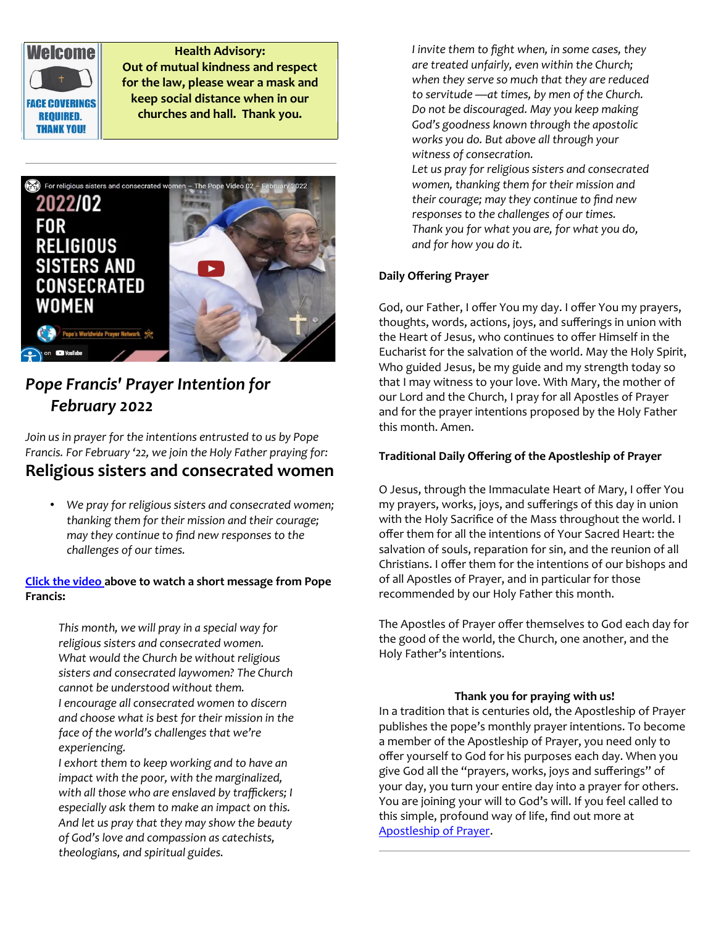

 $\overline{a}$ 

**Health Advisory: Out of mutual kindness and respect for the law, please wear a mask and keep social distance when in our churches and hall. Thank you.**



# *Pope Francis' Prayer Intention for February 2022*

*Join us in prayer for the intentions entrusted to us by Pope Francis. For February '22, we join the Holy Father praying for:*

# **Religious sisters and consecrated women**

• *We pray for religious sisters and consecrated women; thanking them for their mission and their courage; may they continue to find new responses to the challenges of our times.* 

# **[Click the video](https://www.youtube.com/watch?v=3otcrKwH6wc) above to watch a short message from Pope Francis:**

*This month, we will pray in a special way for religious sisters and consecrated women. What would the Church be without religious sisters and consecrated laywomen? The Church cannot be understood without them. I encourage all consecrated women to discern and choose what is best for their mission in the face of the world's challenges that we're experiencing.*

*I exhort them to keep working and to have an impact with the poor, with the marginalized, with all those who are enslaved by traffickers; I especially ask them to make an impact on this. And let us pray that they may show the beauty of God's love and compassion as catechists, theologians, and spiritual guides.*

*I invite them to fight when, in some cases, they are treated unfairly, even within the Church; when they serve so much that they are reduced to servitude —at times, by men of the Church. Do not be discouraged. May you keep making God's goodness known through the apostolic works you do. But above all through your witness of consecration.*

*Let us pray for religious sisters and consecrated women, thanking them for their mission and their courage; may they continue to find new responses to the challenges of our times. Thank you for what you are, for what you do, and for how you do it.*

# **Daily Offering Prayer**

God, our Father, I offer You my day. I offer You my prayers, thoughts, words, actions, joys, and sufferings in union with the Heart of Jesus, who continues to offer Himself in the Eucharist for the salvation of the world. May the Holy Spirit, Who guided Jesus, be my guide and my strength today so that I may witness to your love. With Mary, the mother of our Lord and the Church, I pray for all Apostles of Prayer and for the prayer intentions proposed by the Holy Father this month. Amen.

## **Traditional Daily Offering of the Apostleship of Prayer**

O Jesus, through the Immaculate Heart of Mary, I offer You my prayers, works, joys, and sufferings of this day in union with the Holy Sacrifice of the Mass throughout the world. I offer them for all the intentions of Your Sacred Heart: the salvation of souls, reparation for sin, and the reunion of all Christians. I offer them for the intentions of our bishops and of all Apostles of Prayer, and in particular for those recommended by our Holy Father this month.

The Apostles of Prayer offer themselves to God each day for the good of the world, the Church, one another, and the Holy Father's intentions.

#### **Thank you for praying with us!**

In a tradition that is centuries old, the Apostleship of Prayer publishes the pope's monthly prayer intentions. To become a member of the Apostleship of Prayer, you need only to offer yourself to God for his purposes each day. When you give God all the "prayers, works, joys and sufferings" of your day, you turn your entire day into a prayer for others. You are joining your will to God's will. If you feel called to this simple, profound way of life, find out more at [Apostleship of Prayer](http://popesprayerusa.net/).